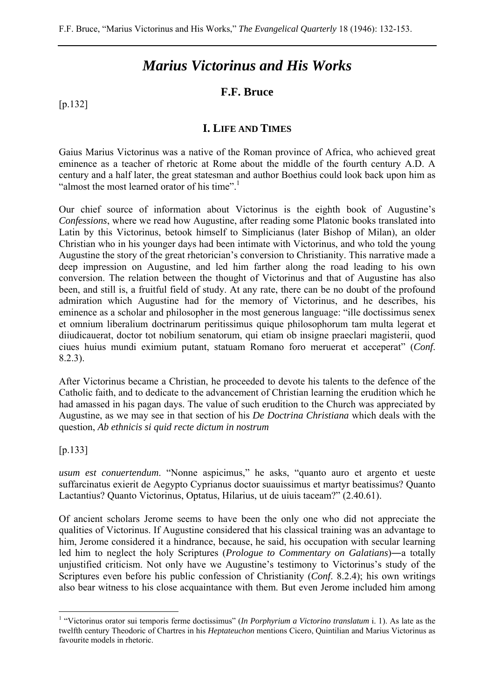# *Marius Victorinus and His Works*

### **F.F. Bruce**

#### [p.132]

#### **I. LIFE AND TIMES**

Gaius Marius Victorinus was a native of the Roman province of Africa, who achieved great eminence as a teacher of rhetoric at Rome about the middle of the fourth century A.D. A century and a half later, the great statesman and author Boethius could look back upon him as "almost the most learned orator of his time".<sup>1</sup>

Our chief source of information about Victorinus is the eighth book of Augustine's *Confessions*, where we read how Augustine, after reading some Platonic books translated into Latin by this Victorinus, betook himself to Simplicianus (later Bishop of Milan), an older Christian who in his younger days had been intimate with Victorinus, and who told the young Augustine the story of the great rhetorician's conversion to Christianity. This narrative made a deep impression on Augustine, and led him farther along the road leading to his own conversion. The relation between the thought of Victorinus and that of Augustine has also been, and still is, a fruitful field of study. At any rate, there can be no doubt of the profound admiration which Augustine had for the memory of Victorinus, and he describes, his eminence as a scholar and philosopher in the most generous language: "ille doctissimus senex et omnium liberalium doctrinarum peritissimus quique philosophorum tam multa legerat et diiudicauerat, doctor tot nobilium senatorum, qui etiam ob insigne praeclari magisterii, quod ciues huius mundi eximium putant, statuam Romano foro meruerat et acceperat" (*Conf*. 8.2.3).

After Victorinus became a Christian, he proceeded to devote his talents to the defence of the Catholic faith, and to dedicate to the advancement of Christian learning the erudition which he had amassed in his pagan days. The value of such erudition to the Church was appreciated by Augustine, as we may see in that section of his *De Doctrina Christiana* which deals with the question, *Ab ethnicis si quid recte dictum in nostrum*

#### [p.133]

 $\overline{a}$ 

*usum est conuertendum*. "Nonne aspicimus," he asks, "quanto auro et argento et ueste suffarcinatus exierit de Aegypto Cyprianus doctor suauissimus et martyr beatissimus? Quanto Lactantius? Quanto Victorinus, Optatus, Hilarius, ut de uiuis taceam?" (2.40.61).

Of ancient scholars Jerome seems to have been the only one who did not appreciate the qualities of Victorinus. If Augustine considered that his classical training was an advantage to him, Jerome considered it a hindrance, because, he said, his occupation with secular learning led him to neglect the holy Scriptures (*Prologue to Commentary on Galatians*)―a totally unjustified criticism. Not only have we Augustine's testimony to Victorinus's study of the Scriptures even before his public confession of Christianity (*Conf*. 8.2.4); his own writings also bear witness to his close acquaintance with them. But even Jerome included him among

<sup>&</sup>lt;sup>1</sup> "Victorinus orator sui temporis ferme doctissimus" (*In Porphyrium a Victorino translatum* i. 1). As late as the twelfth century Theodoric of Chartres in his *Heptateuchon* mentions Cicero, Quintilian and Marius Victorinus as favourite models in rhetoric.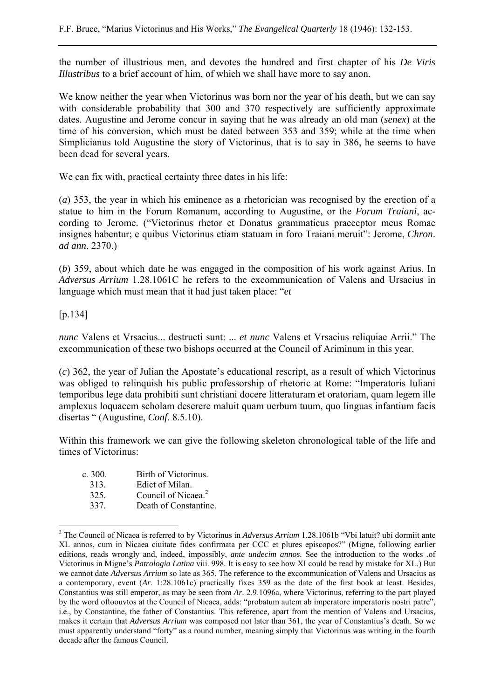the number of illustrious men, and devotes the hundred and first chapter of his *De Viris Illustribus* to a brief account of him, of which we shall have more to say anon.

We know neither the year when Victorinus was born nor the year of his death, but we can say with considerable probability that 300 and 370 respectively are sufficiently approximate dates. Augustine and Jerome concur in saying that he was already an old man (*senex*) at the time of his conversion, which must be dated between 353 and 359; while at the time when Simplicianus told Augustine the story of Victorinus, that is to say in 386, he seems to have been dead for several years.

We can fix with, practical certainty three dates in his life:

(*a*) 353, the year in which his eminence as a rhetorician was recognised by the erection of a statue to him in the Forum Romanum, according to Augustine, or the *Forum Traiani*, according to Jerome. ("Victorinus rhetor et Donatus grammaticus praeceptor meus Romae insignes habentur; e quibus Victorinus etiam statuam in foro Traiani meruit": Jerome, *Chron*. *ad ann*. 2370.)

(*b*) 359, about which date he was engaged in the composition of his work against Arius. In *Adversus Arrium* 1.28.1061C he refers to the excommunication of Valens and Ursacius in language which must mean that it had just taken place: "*et*

[p.134]

 $\overline{a}$ 

*nunc* Valens et Vrsacius... destructi sunt: ... *et nunc* Valens et Vrsacius reliquiae Arrii." The excommunication of these two bishops occurred at the Council of Ariminum in this year.

(*c*) 362, the year of Julian the Apostate's educational rescript, as a result of which Victorinus was obliged to relinquish his public professorship of rhetoric at Rome: "Imperatoris Iuliani temporibus lege data prohibiti sunt christiani docere litteraturam et oratoriam, quam legem ille amplexus loquacem scholam deserere maluit quam uerbum tuum, quo linguas infantium facis disertas " (Augustine, *Conf*. 8.5.10).

Within this framework we can give the following skeleton chronological table of the life and times of Victorinus:

- c. 300. Birth of Victorinus.
	- 313. Edict of Milan.
	- 325. Council of Nicaea.<sup>2</sup>
	- 337. Death of Constantine.

<sup>2</sup> The Council of Nicaea is referred to by Victorinus in *Adversus Arrium* 1.28.1061b "Vbi latuit? ubi dormiit ante XL annos, cum in Nicaea ciuitate fides confirmata per CCC et plures episcopos?" (Migne, following earlier editions, reads wrongly and, indeed, impossibly, *ante undecim annos*. See the introduction to the works .of Victorinus in Migne's *Patrologia Latina* viii. 998. It is easy to see how XI could be read by mistake for XL.) But we cannot date *Adversus Arrium* so late as 365. The reference to the excommunication of Valens and Ursacius as a contemporary, event (*Ar*. 1:28.1061c) practically fixes 359 as the date of the first book at least. Besides, Constantius was still emperor, as may be seen from *Ar*. 2.9.1096a, where Victorinus, referring to the part played by the word oftoouvtos at the Council of Nicaea, adds: "probatum autem ab imperatore imperatoris nostri patre", i.e., by Constantine, the father of Constantius. This reference, apart from the mention of Valens and Ursacius, makes it certain that *Adversus Arrium* was composed not later than 361, the year of Constantius's death. So we must apparently understand "forty" as a round number, meaning simply that Victorinus was writing in the fourth decade after the famous Council.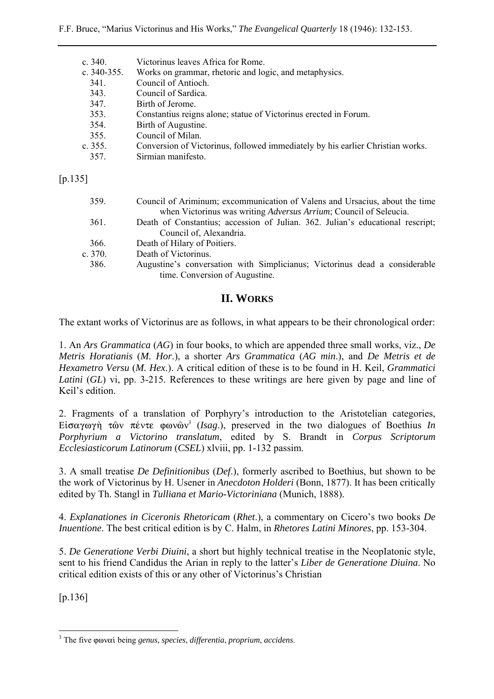| c. $340.$        | Victorinus leaves Africa for Rome.                                             |
|------------------|--------------------------------------------------------------------------------|
| c. $340 - 355$ . | Works on grammar, rhetoric and logic, and metaphysics.                         |
| 341.             | Council of Antioch.                                                            |
| 343.             | Council of Sardica.                                                            |
| 347.             | Birth of Jerome.                                                               |
| 353.             | Constantius reigns alone; statue of Victorinus erected in Forum.               |
| 354.             | Birth of Augustine.                                                            |
| 355.             | Council of Milan.                                                              |
| c. $355.$        | Conversion of Victorinus, followed immediately by his earlier Christian works. |
| 357.             | Sirmian manifesto.                                                             |
| p.135            |                                                                                |

| 359.      | Council of Ariminum; excommunication of Valens and Ursacius, about the time<br>when Victorinus was writing <i>Adversus Arrium</i> ; Council of Seleucia. |
|-----------|----------------------------------------------------------------------------------------------------------------------------------------------------------|
| 361.      | Death of Constantius; accession of Julian. 362. Julian's educational rescript;                                                                           |
|           | Council of, Alexandria.                                                                                                                                  |
| 366.      | Death of Hilary of Poitiers.                                                                                                                             |
| c. $370.$ | Death of Victorinus.                                                                                                                                     |
| 386.      | Augustine's conversation with Simplicianus; Victorinus dead a considerable                                                                               |
|           | time. Conversion of Augustine.                                                                                                                           |

### **II. WORKS**

The extant works of Victorinus are as follows, in what appears to be their chronological order:

1. An *Ars Grammatica* (*AG*) in four books, to which are appended three small works, viz., *De Metris Horatianis* (*M. Hor*.), a shorter *Ars Grammatica* (*AG min*.), and *De Metris et de Hexametro Versu* (*M. Hex*.). A critical edition of these is to be found in H. Keil, *Grammatici Latini* (*GL*) vi, pp. 3-215. References to these writings are here given by page and line of Keil's edition.

2. Fragments of a translation of Porphyry's introduction to the Aristotelian categories, Eισαγωγή τῶν πέντε φωνῶν<sup>3</sup> (*Isag.*), preserved in the two dialogues of Boethius *In Porphyrium a Victorino translatum*, edited by S. Brandt in *Corpus Scriptorum Ecclesiasticorum Latinorum* (*CSEL*) xlviii, pp. 1-132 passim.

3. A small treatise *De Definitionibus* (*Def*.), formerly ascribed to Boethius, but shown to be the work of Victorinus by H. Usener in *Anecdoton Holderi* (Bonn, 1877). It has been critically edited by Th. Stangl in *Tulliana et Mario-Victoriniana* (Munich, 1888).

4. *Explanationes in Ciceronis Rhetoricam* (*Rhet*.), a commentary on Cicero's two books *De Inuentione*. The best critical edition is by C. Halm, in *Rhetores Latini Minores*, pp. 153-304.

5. *De Generatione Verbi Diuini*, a short but highly technical treatise in the NeopIatonic style, sent to his friend Candidus the Arian in reply to the latter's *Liber de Generatione Diuina*. No critical edition exists of this or any other of Victorinus's Christian

[p.136]

 $\overline{a}$ 

<sup>3</sup> The five fwna… being *genus*, *species*, *differentia*, *proprium*, *accidens*.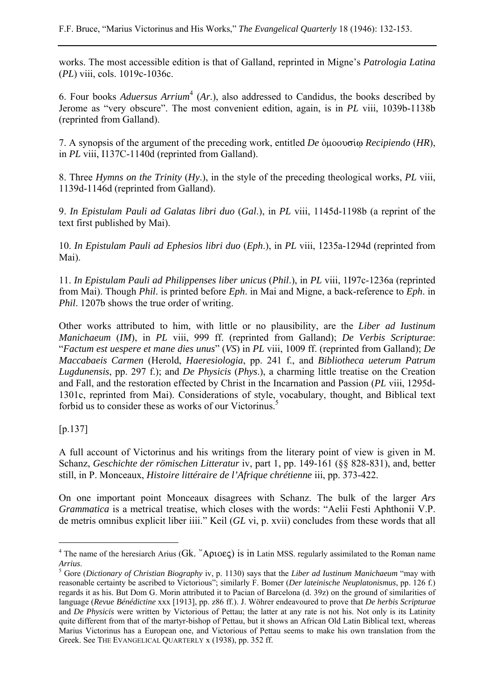works. The most accessible edition is that of Galland, reprinted in Migne's *Patrologia Latina* (*PL*) viii, cols. 1019c-1036c.

6. Four books *Aduersus Arrium*<sup>4</sup> (Ar.), also addressed to Candidus, the books described by Jerome as "very obscure". The most convenient edition, again, is in *PL* viii, 1039b-1138b (reprinted from Galland).

7. A synopsis of the argument of the preceding work, entitled *De* διιορυσίου *Recipiendo* (*HR*), in *PL* viii, I137C-1140d (reprinted from Galland).

8. Three *Hymns on the Trinity* (*Hy*.), in the style of the preceding theological works, *PL* viii, 1139d-1146d (reprinted from Galland).

9. *In Epistulam Pauli ad Galatas libri duo* (*Gal*.), in *PL* viii, 1145d-1198b (a reprint of the text first published by Mai).

10. *In Epistulam Pauli ad Ephesios libri duo* (*Eph*.), in *PL* viii, 1235a-1294d (reprinted from Mai).

11. *In Epistulam Pauli ad Philippenses liber unicus* (*Phil*.), in *PL* viii, 1I97c-1236a (reprinted from Mai). Though *Phil*. is printed before *Eph*. in Mai and Migne, a back-reference to *Eph*. in *Phil*. 1207b shows the true order of writing.

Other works attributed to him, with little or no plausibility, are the *Liber ad Iustinum Manichaeum* (*IM*), in *PL* viii, 999 ff. (reprinted from Galland); *De Verbis Scripturae*: "*Factum est uespere et mane dies unus*" (*VS*) in *PL* viii, 1009 ff. (reprinted from Galland); *De Maccabaeis Carmen* (Herold, *Haeresiologia*, pp. 241 f., and *Bibliotheca ueterum Patrum Lugdunensis*, pp. 297 f.); and *De Physicis* (*Phys*.), a charming little treatise on the Creation and Fall, and the restoration effected by Christ in the Incarnation and Passion (*PL* viii, 1295d-1301c, reprinted from Mai). Considerations of style, vocabulary, thought, and Biblical text forbid us to consider these as works of our Victorinus.<sup>5</sup>

[p.137]

 $\overline{a}$ 

A full account of Victorinus and his writings from the literary point of view is given in M. Schanz, *Geschichte der römischen Litteratur* iv, part 1, pp. 149-161 (§§ 828-831), and, better still, in P. Monceaux, *Histoire littéraire de l'Afrique chrétienne* iii, pp. 373-422.

On one important point Monceaux disagrees with Schanz. The bulk of the larger *Ars Grammatica* is a metrical treatise, which closes with the words: "Aelii Festi Aphthonii V.P. de metris omnibus explicit liber iiii." Keil (*GL* vi, p. xvii) concludes from these words that all

<sup>&</sup>lt;sup>4</sup> The name of the heresiarch Arius (Gk. "Apvo $\varepsilon$ ) is in Latin MSS. regularly assimilated to the Roman name *Arrius*. 5

Gore (*Dictionary of Christian Biography* iv, p. 1130) says that the *Liber ad Iustinum Manichaeum* "may with reasonable certainty be ascribed to Victorious"; similarly F. Bomer (*Der lateinische Neuplatonismus*, pp. 126 f.) regards it as his. But Dom G. Morin attributed it to Pacian of Barcelona (d. 39z) on the ground of similarities of language (*Revue Bénédictine* xxx [1913], pp. z86 ff.). J. Wöhrer endeavoured to prove that *De herbis Scripturae* and *De Physicis* were written by Victorious of Pettau; the latter at any rate is not his. Not only is its Latinity quite different from that of the martyr-bishop of Pettau, but it shows an African Old Latin Biblical text, whereas Marius Victorinus has a European one, and Victorious of Pettau seems to make his own translation from the Greek. See THE EVANGELICAL QUARTERLY x (1938), pp. 352 ff.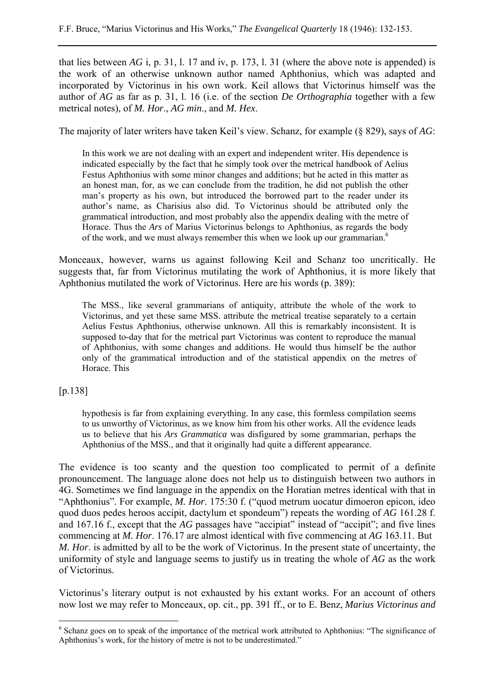that lies between *AG* i, p. 31, l. 17 and iv, p. 173, l. 31 (where the above note is appended) is the work of an otherwise unknown author named Aphthonius, which was adapted and incorporated by Victorinus in his own work. Keil allows that Victorinus himself was the author of *AG* as far as p. 31, l. 16 (i.e. of the section *De Orthographia* together with a few metrical notes), of *M. Hor*., *AG min*., and *M. Hex*.

The majority of later writers have taken Keil's view. Schanz, for example (§ 829), says of *AG*:

In this work we are not dealing with an expert and independent writer. His dependence is indicated especially by the fact that he simply took over the metrical handbook of Aelius Festus Aphthonius with some minor changes and additions; but he acted in this matter as an honest man, for, as we can conclude from the tradition, he did not publish the other man's property as his own, but introduced the borrowed part to the reader under its author's name, as Charisius also did. To Victorinus should be attributed only the grammatical introduction, and most probably also the appendix dealing with the metre of Horace. Thus the *Ars* of Marius Victorinus belongs to Aphthonius, as regards the body of the work, and we must always remember this when we look up our grammarian.<sup>6</sup>

Monceaux, however, warns us against following Keil and Schanz too uncritically. He suggests that, far from Victorinus mutilating the work of Aphthonius, it is more likely that Aphthonius mutilated the work of Victorinus. Here are his words (p. 389):

The MSS., like several grammarians of antiquity, attribute the whole of the work to Victorinus, and yet these same MSS. attribute the metrical treatise separately to a certain Aelius Festus Aphthonius, otherwise unknown. All this is remarkably inconsistent. It is supposed to-day that for the metrical part Victorinus was content to reproduce the manual of Aphthonius, with some changes and additions. He would thus himself be the author only of the grammatical introduction and of the statistical appendix on the metres of Horace. This

[p.138]

 $\overline{a}$ 

hypothesis is far from explaining everything. In any case, this formless compilation seems to us unworthy of Victorinus, as we know him from his other works. All the evidence leads us to believe that his *Ars Grammatica* was disfigured by some grammarian, perhaps the Aphthonius of the MSS., and that it originally had quite a different appearance.

The evidence is too scanty and the question too complicated to permit of a definite pronouncement. The language alone does not help us to distinguish between two authors in 4G. Sometimes we find language in the appendix on the Horatian metres identical with that in "Aphthonius". For example, *M. Hor*. 175:30 f. ("quod metrum uocatur dimoeron epicon, ideo quod duos pedes heroos accipit, dactylum et spondeum") repeats the wording of *AG* 161.28 f. and 167.16 f., except that the *AG* passages have "accipiat" instead of "accipit"; and five lines commencing at *M. Hor*. 176.17 are almost identical with five commencing at *AG* 163.11. But *M. Hor*. is admitted by all to be the work of Victorinus. In the present state of uncertainty, the uniformity of style and language seems to justify us in treating the whole of *AG* as the work of Victorinus.

Victorinus's literary output is not exhausted by his extant works. For an account of others now lost we may refer to Monceaux, op. cit., pp. 391 ff., or to E. Benz, *Marius Victorinus and* 

<sup>&</sup>lt;sup>6</sup> Schanz goes on to speak of the importance of the metrical work attributed to Aphthonius: "The significance of Aphthonius's work, for the history of metre is not to be underestimated."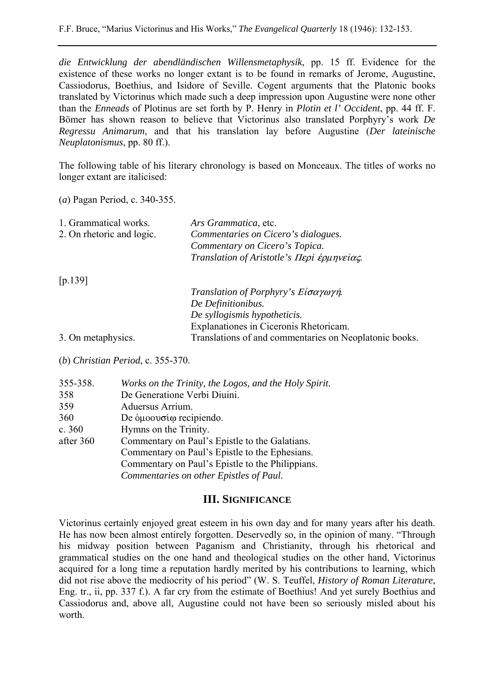*die Entwicklung der abendländischen Willensmetaphysik*, pp. 15 ff. Evidence for the existence of these works no longer extant is to be found in remarks of Jerome, Augustine, Cassiodorus, Boethius, and Isidore of Seville. Cogent arguments that the Platonic books translated by Victorinus which made such a deep impression upon Augustine were none other than the *Enneads* of Plotinus are set forth by P. Henry in *Plotin et l' Occident*, pp. 44 ff. F. Bömer has shown reason to believe that Victorinus also translated Porphyry's work *De Regressu Animarum*, and that his translation lay before Augustine (*Der lateinische Neuplatonismus*, pp. 80 ff.).

The following table of his literary chronology is based on Monceaux. The titles of works no longer extant are italicised:

(*a*) Pagan Period, c. 340-355.

| 1. Grammatical works.     | Ars Grammatica, etc.                                                |
|---------------------------|---------------------------------------------------------------------|
| 2. On rhetoric and logic. | Commentaries on Cicero's dialogues.                                 |
|                           | Commentary on Cicero's Topica.                                      |
|                           | Translation of Aristotle's Περὶ έρμηνείας.                          |
| [p.139]                   |                                                                     |
|                           | Translation of Porphyry's $E_i\sigma\alpha\gamma\omega\gamma\eta$ . |
|                           | De Definitionibus.                                                  |
|                           | De syllogismis hypotheticis.                                        |
|                           | Explanationes in Ciceronis Rhetoricam.                              |
| 3. On metaphysics.        | Translations of and commentaries on Neoplatonic books.              |

(*b*) *Christian Period*, c. 355-370.

| 355-358.  | Works on the Trinity, the Logos, and the Holy Spirit. |
|-----------|-------------------------------------------------------|
| 358       | De Generatione Verbi Diuini.                          |
| 359       | Aduersus Arrium.                                      |
| 360       | De δμοσυσίω recipiendo.                               |
| c. $360$  | Hymns on the Trinity.                                 |
| after 360 | Commentary on Paul's Epistle to the Galatians.        |
|           | Commentary on Paul's Epistle to the Ephesians.        |
|           | Commentary on Paul's Epistle to the Philippians.      |
|           | Commentaries on other Epistles of Paul.               |

### **III. SIGNIFICANCE**

Victorinus certainly enjoyed great esteem in his own day and for many years after his death. He has now been almost entirely forgotten. Deservedly so, in the opinion of many. "Through his midway position between Paganism and Christianity, through his rhetorical and grammatical studies on the one hand and theological studies on the other hand, Victorinus acquired for a long time a reputation hardly merited by his contributions to learning, which did not rise above the mediocrity of his period" (W. S. Teuffel, *History of Roman Literature*, Eng. tr., ii, pp. 337 f.). A far cry from the estimate of Boethius! And yet surely Boethius and Cassiodorus and, above all, Augustine could not have been so seriously misled about his worth.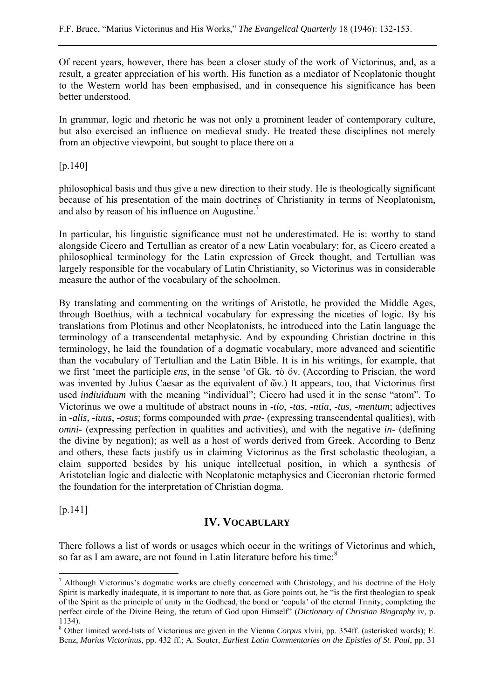Of recent years, however, there has been a closer study of the work of Victorinus, and, as a result, a greater appreciation of his worth. His function as a mediator of Neoplatonic thought to the Western world has been emphasised, and in consequence his significance has been better understood.

In grammar, logic and rhetoric he was not only a prominent leader of contemporary culture, but also exercised an influence on medieval study. He treated these disciplines not merely from an objective viewpoint, but sought to place there on a

[p.140]

philosophical basis and thus give a new direction to their study. He is theologically significant because of his presentation of the main doctrines of Christianity in terms of Neoplatonism, and also by reason of his influence on Augustine.<sup>7</sup>

In particular, his linguistic significance must not be underestimated. He is: worthy to stand alongside Cicero and Tertullian as creator of a new Latin vocabulary; for, as Cicero created a philosophical terminology for the Latin expression of Greek thought, and Tertullian was largely responsible for the vocabulary of Latin Christianity, so Victorinus was in considerable measure the author of the vocabulary of the schoolmen.

By translating and commenting on the writings of Aristotle, he provided the Middle Ages, through Boethius, with a technical vocabulary for expressing the niceties of logic. By his translations from Plotinus and other Neoplatonists, he introduced into the Latin language the terminology of a transcendental metaphysic. And by expounding Christian doctrine in this terminology, he laid the foundation of a dogmatic vocabulary, more advanced and scientific than the vocabulary of Tertullian and the Latin Bible. It is in his writings, for example, that we first 'meet the participle *ens*, in the sense 'of Gk.  $\tau$ ò  $\delta$ v. (According to Priscian, the word was invented by Julius Caesar as the equivalent of  $\ddot{\omega}v$ .) It appears, too, that Victorinus first used *indiuiduum* with the meaning "individual"; Cicero had used it in the sense "atom". To Victorinus we owe a multitude of abstract nouns in -*tio*, -*tas*, -*ntia*, -*tus*, -*mentum*; adjectives in -*alis*, -*iuus*, -*osus*; forms compounded with *prae*- (expressing transcendental qualities), with *omni*- (expressing perfection in qualities and activities), and with the negative *in*- (defining the divine by negation); as well as a host of words derived from Greek. According to Benz and others, these facts justify us in claiming Victorinus as the first scholastic theologian, a claim supported besides by his unique intellectual position, in which a synthesis of Aristotelian logic and dialectic with Neoplatonic metaphysics and Ciceronian rhetoric formed the foundation for the interpretation of Christian dogma.

[p.141]

 $\overline{a}$ 

## **IV. VOCABULARY**

There follows a list of words or usages which occur in the writings of Victorinus and which, so far as I am aware, are not found in Latin literature before his time:<sup>8</sup>

 $<sup>7</sup>$  Although Victorinus's dogmatic works are chiefly concerned with Christology, and his doctrine of the Holy</sup> Spirit is markedly inadequate, it is important to note that, as Gore points out, he "is the first theologian to speak of the Spirit as the principle of unity in the Godhead, the bond or 'copula' of the eternal Trinity, completing the perfect circle of the Divine Being, the return of God upon Himself" (*Dictionary of Christian Biography* iv, p. 1134).

<sup>8</sup> Other limited word-lists of Victorinus are given in the Vienna *Corpus* xlviii, pp. 354ff. (asterisked words); E. Benz, *Marius Victorinus*, pp. 432 ff.; A. Souter, *Earliest Latin Commentaries on the Epistles of St. Paul*, pp. 31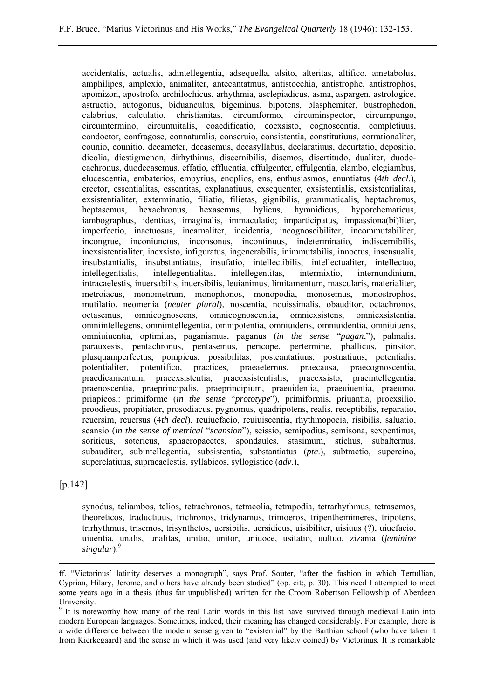accidentalis, actualis, adintellegentia, adsequella, alsito, alteritas, altifico, ametabolus, amphilipes, amplexio, animaliter, antecantatmus, antistoechia, antistrophe, antistrophos, apomizon, apostrofo, archilochicus, arhythmia, asclepiadicus, asma, aspargen, astrologice, astructio, autogonus, biduanculus, bigeminus, bipotens, blasphemiter, bustrophedon, calabrius, calculatio, christianitas, circumformo, circuminspector, circumpungo, circumtermino, circumuitalis, coaedificatio, eoexsisto, cognoscentia, completiuus, condoctor, confragose, connaturalis, conseruio, consistentia, constitutiuus, corrationaliter, counio, counitio, decameter, decasemus, decasyllabus, declaratiuus, decurtatio, depositio, dicolia, diestigmenon, dirhythinus, discernibilis, disemos, disertitudo, dualiter, duodecachronus, duodecasemus, effatio, effluentia, effulgenter, effulgentia, elambo, elegiambus, elucescentia, embaterios, empyrius, enoplios, ens, enthusiasmos, enuntiatus (4*th decl*.), erector, essentialitas, essentitas, explanatiuus, exsequenter, exsistentialis, exsistentialitas, exsistentialiter, exterminatio, filiatio, filietas, gignibilis, grammaticalis, heptachronus, heptasemus, hexachronus, hexasemus, hylicus, hymnidicus, hyporchematicus, iambographus, identitas, imaginalis, immaculatio; imparticipatus, impassiona(bi)liter, imperfectio, inactuosus, incarnaliter, incidentia, incognoscibiliter, incommutabiliter, incongrue, inconiunctus, inconsonus, incontinuus, indeterminatio, indiscernibilis, inexsistentialiter, inexsisto, infiguratus, ingenerabilis, inimmutabilis, innoetus, insensualis, insubstantialis, insubstantiatus, insufatio, intellectibilis, intellectualiter, intellectuo, intellegentialis, intellegentialitas, intellegentitas, intermixtio, internundinium, intracaelestis, inuersabilis, inuersibilis, leuianimus, limitamentum, mascularis, materialiter, metroiacus, monometrum, monophonos, monopodia, monosemus, monostrophos, mutilatio, neomenia (*neuter plural*), noscentia, nouissimalis, obauditor, octachronos, octasemus, omnicognoscens, omnicognoscentia, omniexsistens, omniexsistentia, omniintellegens, omniintellegentia, omnipotentia, omniuidens, omniuidentia, omniuiuens, omniuiuentia, optimitas, paganismus, paganus (*in the sense* "*pagan*,"), palmalis, parauxesis, pentachronus, pentasemus, pericope, pertermine, phallicus, pinsitor, plusquamperfectus, pompicus, possibilitas, postcantatiuus, postnatiuus, potentialis, potentialiter, potentifico, practices, praeaeternus, praecausa, praecognoscentia, praedicamentum, praeexsistentia, praeexsistentialis, praeexsisto, praeintellegentia, praenoscentia, praeprincipalis, praeprincipium, praeuidentia, praeuiuentia, praeumo, priapicos,: primiforme (*in the sense* "*prototype*"), primiformis, priuantia, proexsilio, proodieus, propitiator, prosodiacus, pygnomus, quadripotens, realis, receptibilis, reparatio, reuersim, reuersus (4*th decl*), reuiuefacio, reuiuiscentia, rhythmopocia, risibilis, saluatio, scansio (*in the sense of metrical* "*scansion*"), seissio, semipodius, semisona, sexpentinus, soriticus, sotericus, sphaeropaectes, spondaules, stasimum, stichus, subalternus, subauditor, subintellegentia, subsistentia, substantiatus (*ptc*.), subtractio, supercino, superelatiuus, supracaelestis, syllabicos, syllogistice (*adv*.),

#### [p.142]

synodus, teliambos, telios, tetrachronos, tetracolia, tetrapodia, tetrarhythmus, tetrasemos, theoreticos, traductiuus, trichronos, tridynamus, trimoeros, tripenthemimeres, tripotens, trirhythmus, trisemos, trisynthetos, uersibilis, uersidicus, uisibiliter, uisiuus (?), uiuefacio, uiuentia, unalis, unalitas, unitio, unitor, uniuoce, usitatio, uultuo, zizania (*feminine singular*).9

ff. "Victorinus' latinity deserves a monograph", says Prof. Souter, "after the fashion in which Tertullian, Cyprian, Hilary, Jerome, and others have already been studied" (op. cit:, p. 30). This need I attempted to meet some years ago in a thesis (thus far unpublished) written for the Croom Robertson Fellowship of Aberdeen University.

<sup>&</sup>lt;sup>9</sup> It is noteworthy how many of the real Latin words in this list have survived through medieval Latin into modern European languages. Sometimes, indeed, their meaning has changed considerably. For example, there is a wide difference between the modern sense given to "existential" by the Barthian school (who have taken it from Kierkegaard) and the sense in which it was used (and very likely coined) by Victorinus. It is remarkable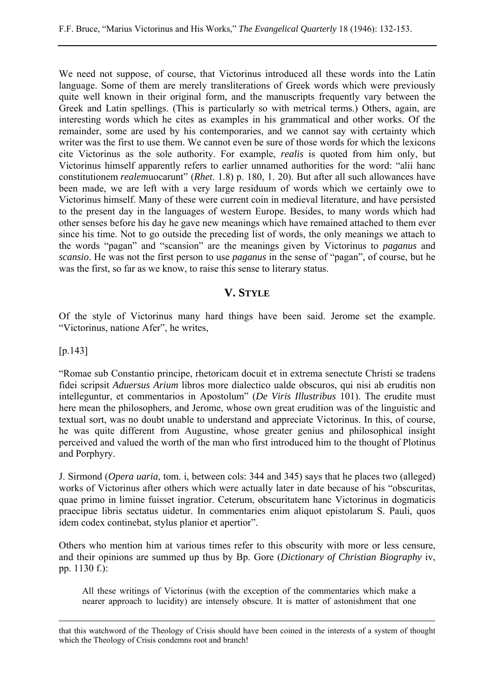We need not suppose, of course, that Victorinus introduced all these words into the Latin language. Some of them are merely transliterations of Greek words which were previously quite well known in their original form, and the manuscripts frequently vary between the Greek and Latin spellings. (This is particularly so with metrical terms.) Others, again, are interesting words which he cites as examples in his grammatical and other works. Of the remainder, some are used by his contemporaries, and we cannot say with certainty which writer was the first to use them. We cannot even be sure of those words for which the lexicons cite Victorinus as the sole authority. For example, *realis* is quoted from him only, but Victorinus himself apparently refers to earlier unnamed authorities for the word: "alii hanc constitutionem *realem* uocarunt" (*Rhet*. 1.8) p. 180, 1. 20). But after all such allowances have been made, we are left with a very large residuum of words which we certainly owe to Victorinus himself. Many of these were current coin in medieval literature, and have persisted to the present day in the languages of western Europe. Besides, to many words which had other senses before his day he gave new meanings which have remained attached to them ever since his time. Not to go outside the preceding list of words, the only meanings we attach to the words "pagan" and "scansion" are the meanings given by Victorinus to *paganus* and *scansio*. He was not the first person to use *paganus* in the sense of "pagan", of course, but he was the first, so far as we know, to raise this sense to literary status.

### **V. STYLE**

Of the style of Victorinus many hard things have been said. Jerome set the example. "Victorinus, natione Afer", he writes,

[p.143]

"Romae sub Constantio principe, rhetoricam docuit et in extrema senectute Christi se tradens fidei scripsit *Aduersus Arium* libros more dialectico ualde obscuros, qui nisi ab eruditis non intelleguntur, et commentarios in Apostolum" (*De Viris Illustribus* 101). The erudite must here mean the philosophers, and Jerome, whose own great erudition was of the linguistic and textual sort, was no doubt unable to understand and appreciate Victorinus. In this, of course, he was quite different from Augustine, whose greater genius and philosophical insight perceived and valued the worth of the man who first introduced him to the thought of Plotinus and Porphyry.

J. Sirmond (*Opera uaria*, tom. i, between cols: 344 and 345) says that he places two (alleged) works of Victorinus after others which were actually later in date because of his "obscuritas, quae primo in limine fuisset ingratior. Ceterum, obscuritatem hanc Victorinus in dogmaticis praecipue libris sectatus uidetur. In commentaries enim aliquot epistolarum S. Pauli, quos idem codex continebat, stylus planior et apertior".

Others who mention him at various times refer to this obscurity with more or less censure, and their opinions are summed up thus by Bp. Gore (*Dictionary of Christian Biography* iv, pp. 1130 f.):

All these writings of Victorinus (with the exception of the commentaries which make a nearer approach to lucidity) are intensely obscure. It is matter of astonishment that one

that this watchword of the Theology of Crisis should have been coined in the interests of a system of thought which the Theology of Crisis condemns root and branch!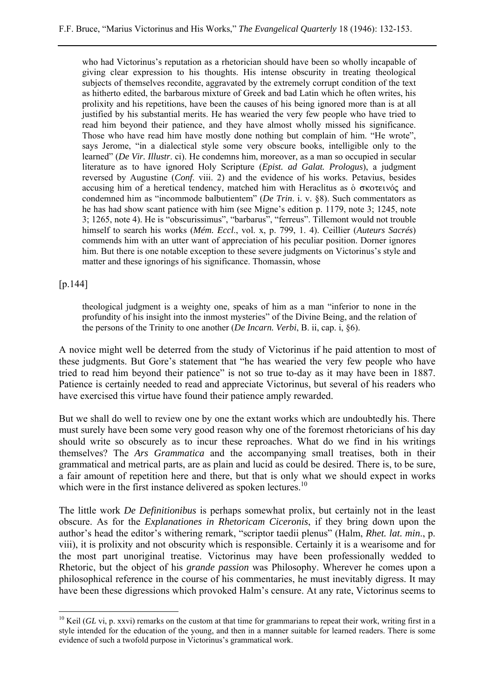who had Victorinus's reputation as a rhetorician should have been so wholly incapable of giving clear expression to his thoughts. His intense obscurity in treating theological subjects of themselves recondite, aggravated by the extremely corrupt condition of the text as hitherto edited, the barbarous mixture of Greek and bad Latin which he often writes, his prolixity and his repetitions, have been the causes of his being ignored more than is at all justified by his substantial merits. He has wearied the very few people who have tried to read him beyond their patience, and they have almost wholly missed his significance. Those who have read him have mostly done nothing but complain of him. "He wrote", says Jerome, "in a dialectical style some very obscure books, intelligible only to the learned" (*De Vir. Illustr*. ci). He condemns him, moreover, as a man so occupied in secular literature as to have ignored Holy Scripture (*Epist. ad Galat. Prologus*), a judgment reversed by Augustine (*Conf*. viii. 2) and the evidence of his works. Petavius, besides accusing him of a heretical tendency, matched him with Heraclitus as  $\delta$   $\sigma$ <sub>K</sub> $\sigma$  and condemned him as "incommode balbutientem" (*De Trin*. i. v. §8). Such commentators as he has had show scant patience with him (see Migne's edition p. 1179, note 3; 1245, note 3; 1265, note 4). He is "obscurissimus", "barbarus", "ferreus". Tillemont would not trouble himself to search his works (*Mém. Eccl*., vol. x, p. 799, 1. 4). Ceillier (*Auteurs Sacrés*) commends him with an utter want of appreciation of his peculiar position. Dorner ignores him. But there is one notable exception to these severe judgments on Victorinus's style and matter and these ignorings of his significance. Thomassin, whose

#### [p.144]

theological judgment is a weighty one, speaks of him as a man "inferior to none in the profundity of his insight into the inmost mysteries" of the Divine Being, and the relation of the persons of the Trinity to one another (*De Incarn. Verbi*, B. ii, cap. i, §6).

A novice might well be deterred from the study of Victorinus if he paid attention to most of these judgments. But Gore's statement that "he has wearied the very few people who have tried to read him beyond their patience" is not so true to-day as it may have been in 1887. Patience is certainly needed to read and appreciate Victorinus, but several of his readers who have exercised this virtue have found their patience amply rewarded.

But we shall do well to review one by one the extant works which are undoubtedly his. There must surely have been some very good reason why one of the foremost rhetoricians of his day should write so obscurely as to incur these reproaches. What do we find in his writings themselves? The *Ars Grammatica* and the accompanying small treatises, both in their grammatical and metrical parts, are as plain and lucid as could be desired. There is, to be sure, a fair amount of repetition here and there, but that is only what we should expect in works which were in the first instance delivered as spoken lectures.<sup>10</sup>

The little work *De Definitionibus* is perhaps somewhat prolix, but certainly not in the least obscure. As for the *Explanationes in Rhetoricam Ciceronis*, if they bring down upon the author's head the editor's withering remark, "scriptor taedii plenus" (Halm, *Rhet. lat. min*., p. viii), it is prolixity and not obscurity which is responsible. Certainly it is a wearisome and for the most part unoriginal treatise. Victorinus may have been professionally wedded to Rhetoric, but the object of his *grande passion* was Philosophy. Wherever he comes upon a philosophical reference in the course of his commentaries, he must inevitably digress. It may have been these digressions which provoked Halm's censure. At any rate, Victorinus seems to

 $\overline{a}$ <sup>10</sup> Keil (*GL* vi, p. xxvi) remarks on the custom at that time for grammarians to repeat their work, writing first in a style intended for the education of the young, and then in a manner suitable for learned readers. There is some evidence of such a twofold purpose in Victorinus's grammatical work.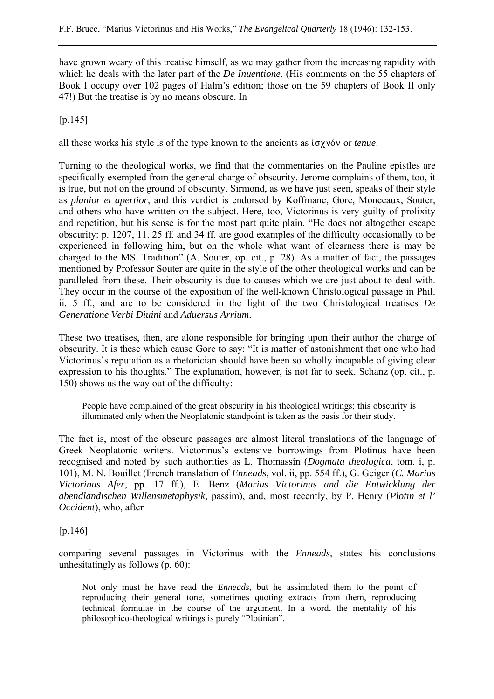have grown weary of this treatise himself, as we may gather from the increasing rapidity with which he deals with the later part of the *De Inuentione*. (His comments on the 55 chapters of Book I occupy over 102 pages of Halm's edition; those on the 59 chapters of Book II only 47!) But the treatise is by no means obscure. In

 $[p.145]$ 

all these works his style is of the type known to the ancients as  $i\sigma y \nu \delta y$  or *tenue*.

Turning to the theological works, we find that the commentaries on the Pauline epistles are specifically exempted from the general charge of obscurity. Jerome complains of them, too, it is true, but not on the ground of obscurity. Sirmond, as we have just seen, speaks of their style as *planior et apertior*, and this verdict is endorsed by Koffmane, Gore, Monceaux, Souter, and others who have written on the subject. Here, too, Victorinus is very guilty of prolixity and repetition, but his sense is for the most part quite plain. "He does not altogether escape obscurity: p. 1207, 11. 25 ff. and 34 ff. are good examples of the difficulty occasionally to be experienced in following him, but on the whole what want of clearness there is may be charged to the MS. Tradition" (A. Souter, op. cit., p. 28). As a matter of fact, the passages mentioned by Professor Souter are quite in the style of the other theological works and can be paralleled from these. Their obscurity is due to causes which we are just about to deal with. They occur in the course of the exposition of the well-known Christological passage in Phil. ii. 5 ff., and are to be considered in the light of the two Christological treatises *De Generatione Verbi Diuini* and *Aduersus Arrium*.

These two treatises, then, are alone responsible for bringing upon their author the charge of obscurity. It is these which cause Gore to say: "It is matter of astonishment that one who had Victorinus's reputation as a rhetorician should have been so wholly incapable of giving clear expression to his thoughts." The explanation, however, is not far to seek. Schanz (op. cit., p. 150) shows us the way out of the difficulty:

People have complained of the great obscurity in his theological writings; this obscurity is illuminated only when the Neoplatonic standpoint is taken as the basis for their study.

The fact is, most of the obscure passages are almost literal translations of the language of Greek Neoplatonic writers. Victorinus's extensive borrowings from Plotinus have been recognised and noted by such authorities as L. Thomassin (*Dogmata theologica*, tom. i, p. 101), M. N. Bouillet (French translation of *Enneads*, vol. ii, pp. 554 ff.), G. Geiger (*C. Marius Victorinus Afer*, pp. 17 ff.), E. Benz (*Marius Victorinus and die Entwicklung der abendländischen Willensmetaphysik,* passim), and, most recently, by P. Henry (*Plotin et l' Occident*), who, after

[p.146]

comparing several passages in Victorinus with the *Enneads*, states his conclusions unhesitatingly as follows (p. 60):

Not only must he have read the *Enneads*, but he assimilated them to the point of reproducing their general tone, sometimes quoting extracts from them, reproducing technical formulae in the course of the argument. In a word, the mentality of his philosophico-theological writings is purely "Plotinian".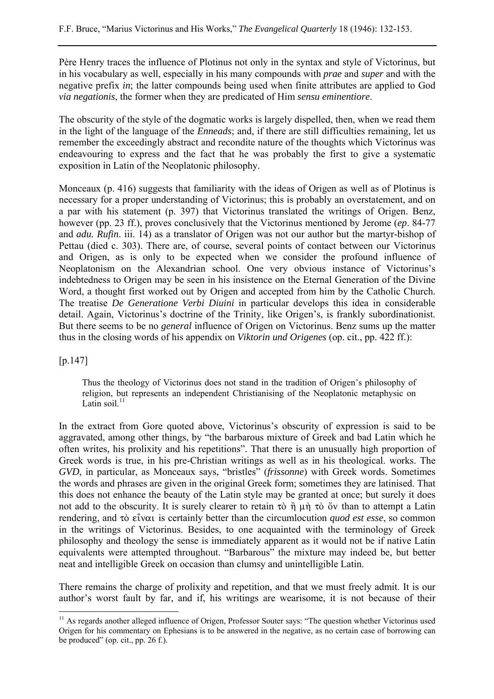Père Henry traces the influence of Plotinus not only in the syntax and style of Victorinus, but in his vocabulary as well, especially in his many compounds with *prae* and *super* and with the negative prefix *in*; the latter compounds being used when finite attributes are applied to God *via negationis*, the former when they are predicated of Him *sensu eminentiore*.

The obscurity of the style of the dogmatic works is largely dispelled, then, when we read them in the light of the language of the *Enneads*; and, if there are still difficulties remaining, let us remember the exceedingly abstract and recondite nature of the thoughts which Victorinus was endeavouring to express and the fact that he was probably the first to give a systematic exposition in Latin of the Neoplatonic philosophy.

Monceaux (p. 416) suggests that familiarity with the ideas of Origen as well as of Plotinus is necessary for a proper understanding of Victorinus; this is probably an overstatement, and on a par with his statement (p. 397) that Victorinus translated the writings of Origen. Benz, however (pp. 23 ff.), proves conclusively that the Victorinus mentioned by Jerome (*ep*. 84-77 and *adu. Rufin*. iii. 14) as a translator of Origen was not our author but the martyr-bishop of Pettau (died c. 303). There are, of course, several points of contact between our Victorinus and Origen, as is only to be expected when we consider the profound influence of Neoplatonism on the Alexandrian school. One very obvious instance of Victorinus's indebtedness to Origen may be seen in his insistence on the Eternal Generation of the Divine Word, a thought first worked out by Origen and accepted from him by the Catholic Church. The treatise *De Generatione Verbi Diuini* in particular develops this idea in considerable detail. Again, Victorinus's doctrine of the Trinity, like Origen's, is frankly subordinationist. But there seems to be no *general* influence of Origen on Victorinus. Benz sums up the matter thus in the closing words of his appendix on *Viktorin und Origenes* (op. cit., pp. 422 ff.):

#### [p.147]

 $\overline{a}$ 

Thus the theology of Victorinus does not stand in the tradition of Origen's philosophy of religion, but represents an independent Christianising of the Neoplatonic metaphysic on Latin soil $^{11}$ 

In the extract from Gore quoted above, Victorinus's obscurity of expression is said to be aggravated, among other things, by "the barbarous mixture of Greek and bad Latin which he often writes, his prolixity and his repetitions". That there is an unusually high proportion of Greek words is true, in his pre-Christian writings as well as in his theological. works. The *GVD*, in particular, as Monceaux says, "bristles" (*frissonne*) with Greek words. Sometimes the words and phrases are given in the original Greek form; sometimes they are latinised. That this does not enhance the beauty of the Latin style may be granted at once; but surely it does not add to the obscurity. It is surely clearer to retain  $\tau\delta \dot{\eta} \mu \dot{\eta} \tau \dot{\delta} \delta v$  than to attempt a Latin rendering, and  $\tau\delta$   $\epsilon\hat{i}$  v $\alpha$  is certainly better than the circumlocution *quod est esse*, so common in the writings of Victorinus. Besides, to one acquainted with the terminology of Greek philosophy and theology the sense is immediately apparent as it would not be if native Latin equivalents were attempted throughout. "Barbarous" the mixture may indeed be, but better neat and intelligible Greek on occasion than clumsy and unintelligible Latin.

There remains the charge of prolixity and repetition, and that we must freely admit. It is our author's worst fault by far, and if, his writings are wearisome, it is not because of their

<sup>&</sup>lt;sup>11</sup> As regards another alleged influence of Origen, Professor Souter says: "The question whether Victorinus used Origen for his commentary on Ephesians is to be answered in the negative, as no certain case of borrowing can be produced" (op. cit., pp. 26 f.).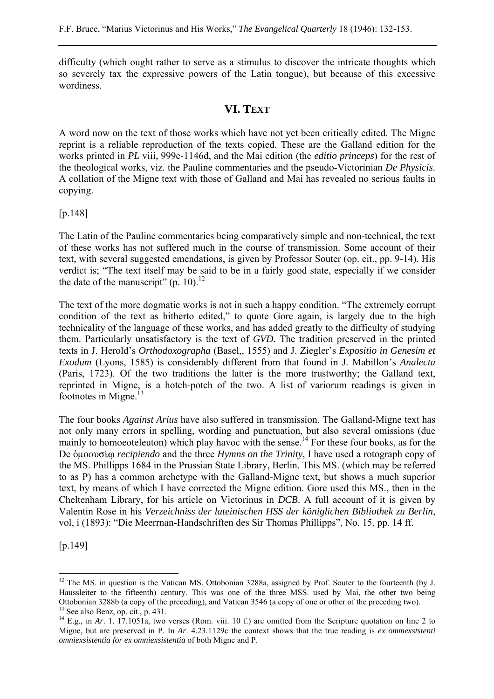difficulty (which ought rather to serve as a stimulus to discover the intricate thoughts which so severely tax the expressive powers of the Latin tongue), but because of this excessive wordiness.

### **VI. TEXT**

A word now on the text of those works which have not yet been critically edited. The Migne reprint is a reliable reproduction of the texts copied. These are the Galland edition for the works printed in *PL* viii, 999c-1146d, and the Mai edition (the *editio princeps*) for the rest of the theological works, viz. the Pauline commentaries and the pseudo-Victorinian *De Physicis*. A collation of the Migne text with those of Galland and Mai has revealed no serious faults in copying.

[p.148]

The Latin of the Pauline commentaries being comparatively simple and non-technical, the text of these works has not suffered much in the course of transmission. Some account of their text, with several suggested emendations, is given by Professor Souter (op. cit., pp. 9-14). His verdict is; "The text itself may be said to be in a fairly good state, especially if we consider the date of the manuscript" (p. 10).<sup>12</sup>

The text of the more dogmatic works is not in such a happy condition. "The extremely corrupt condition of the text as hitherto edited," to quote Gore again, is largely due to the high technicality of the language of these works, and has added greatly to the difficulty of studying them. Particularly unsatisfactory is the text of *GVD*. The tradition preserved in the printed texts in J. Herold's *Orthodoxographa* (Basel,, 1555) and J. Ziegler's *Expositio in Genesim et Exodum* (Lyons, 1585) is considerably different from that found in J. Mabillon's *Analecta* (Paris, 1723). Of the two traditions the latter is the more trustworthy; the Galland text, reprinted in Migne, is a hotch-potch of the two. A list of variorum readings is given in footnotes in Migne $^{13}$ .

The four books *Against Arius* have also suffered in transmission. The Galland-Migne text has not only many errors in spelling, wording and punctuation, but also several omissions (due mainly to homoeoteleuton) which play havoc with the sense.<sup>14</sup> For these four books, as for the De διασουσίω *recipiendo* and the three *Hymns on the Trinity*. I have used a rotograph copy of the MS. Phillipps 1684 in the Prussian State Library, Berlin. This MS. (which may be referred to as P) has a common archetype with the Galland-Migne text, but shows a much superior text, by means of which I have corrected the Migne edition. Gore used this MS., then in the Cheltenham Library, for his article on Victorinus in *DCB*. A full account of it is given by Valentin Rose in his *Verzeichniss der lateinischen HSS der königlichen Bibliothek zu Berlin*, vol, i (1893): "Die Meerrnan-Handschriften des Sir Thomas Phillipps", No. 15, pp. 14 ff.

[p.149]

 $\overline{a}$ 

<sup>&</sup>lt;sup>12</sup> The MS, in question is the Vatican MS. Ottobonian 3288a, assigned by Prof. Souter to the fourteenth (by J. Haussleiter to the fifteenth) century. This was one of the three MSS. used by Mai, the other two being Ottobonian 3288b (a copy of the preceding), and Vatican 3546 (a copy of one or other of the preceding two).  $13$  See also Benz, op. cit., p. 431.

<sup>&</sup>lt;sup>14</sup> E.g., in *Ar*. 1. 17.1051a, two verses (Rom. viii. 10 f.) are omitted from the Scripture quotation on line 2 to Migne, but are preserved in P. In *Ar*. 4.23.1129c the context shows that the true reading is *ex ommexststenti omniexsistentia for ex omniexsistentia* of both Migne and P.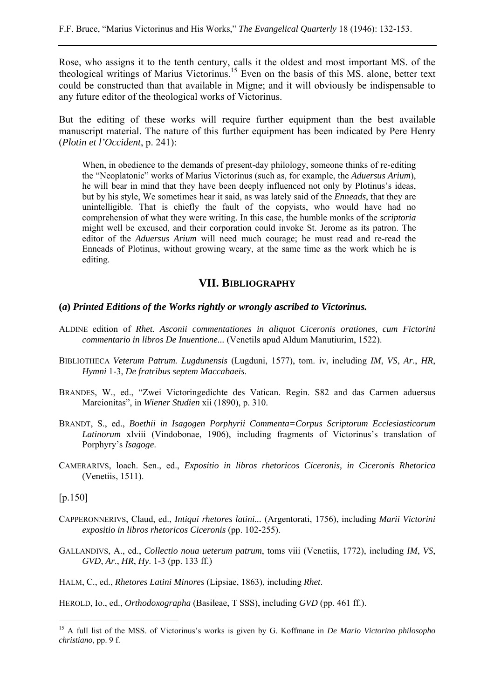Rose, who assigns it to the tenth century, calls it the oldest and most important MS. of the theological writings of Marius Victorinus.15 Even on the basis of this MS. alone, better text could be constructed than that available in Migne; and it will obviously be indispensable to any future editor of the theological works of Victorinus.

But the editing of these works will require further equipment than the best available manuscript material. The nature of this further equipment has been indicated by Pere Henry (*Plotin et l'Occident*, p. 241):

When, in obedience to the demands of present-day philology, someone thinks of re-editing the "Neoplatonic" works of Marius Victorinus (such as, for example, the *Aduersus Arium*), he will bear in mind that they have been deeply influenced not only by Plotinus's ideas, but by his style, We sometimes hear it said, as was lately said of the *Enneads*, that they are unintelligible. That is chiefly the fault of the copyists, who would have had no comprehension of what they were writing. In this case, the humble monks of the *scriptoria* might well be excused, and their corporation could invoke St. Jerome as its patron. The editor of the *Aduersus Arium* will need much courage; he must read and re-read the Enneads of Plotinus, without growing weary, at the same time as the work which he is editing.

#### **VII. BIBLIOGRAPHY**

#### **(***a***)** *Printed Editions of the Works rightly or wrongly ascribed to Victorinus.*

- ALDINE edition of *Rhet. Asconii commentationes in aliquot Ciceronis orationes, cum Fictorini commentario in libros De Inuentione...* (Venetils apud Aldum Manutiurim, 1522).
- BIBLIOTHECA *Veterum Patrum. Lugdunensis* (Lugduni, 1577), tom. iv, including *IM*, *VS*, *Ar*., *HR*, *Hymni* 1-3, *De fratribus septem Maccabaeis*.
- BRANDES, W., ed., "Zwei Victoringedichte des Vatican. Regin. S82 and das Carmen aduersus Marcionitas", in *Wiener Studien* xii (1890), p. 310.
- BRANDT, S., ed., *Boethii in Isagogen Porphyrii Commenta=Corpus Scriptorum Ecclesiasticorum Latinorum* xlviii (Vindobonae, 1906), including fragments of Victorinus's translation of Porphyry's *Isagoge*.
- CAMERARIVS, loach. Sen., ed., *Expositio in libros rhetoricos Ciceronis, in Ciceronis Rhetorica* (Venetiis, 1511).

#### [p.150]

 $\overline{a}$ 

- CAPPERONNERIVS, Claud, ed., *Intiqui rhetores latini...* (Argentorati, 1756), including *Marii Victorini expositio in libros rhetoricos Ciceronis* (pp. 102-255).
- GALLANDIVS, A., ed., *Collectio noua ueterum patrum*, toms viii (Venetiis, 1772), including *IM*, *VS*, *GVD*, *Ar*., *HR*, *Hy*. 1-3 (pp. 133 ff.)

HALM, C., ed., *Rhetores Latini Minores* (Lipsiae, 1863), including *Rhet*.

HEROLD, Io., ed., *Orthodoxographa* (Basileae, T SSS), including *GVD* (pp. 461 ff.).

<sup>15</sup> A full list of the MSS. of Victorinus's works is given by G. Koffmane in *De Mario Victorino philosopho christiano*, pp. 9 f.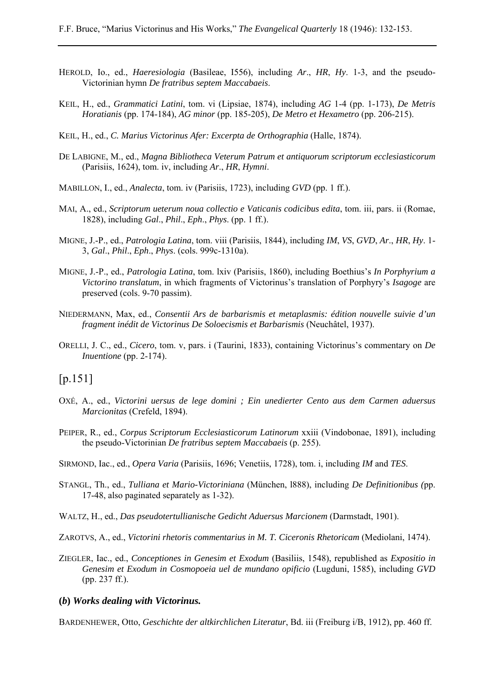- HEROLD, Io., ed., *Haeresiologia* (Basileae, I556), including *Ar*., *HR*, *Hy*. 1-3, and the pseudo-Victorinian hymn *De fratribus septem Maccabaeis*.
- KEIL, H., ed., *Grammatici Latini*, tom. vi (Lipsiae, 1874), including *AG* 1-4 (pp. 1-173), *De Metris Horatianis* (pp. 174-184), *AG minor* (pp. 185-205), *De Metro et Hexametro* (pp. 206-215).
- KEIL, H., ed., *C. Marius Victorinus Afer: Excerpta de Orthographia* (Halle, 1874).
- DE LABIGNE, M., ed., *Magna Bibliotheca Veterum Patrum et antiquorum scriptorum ecclesiasticorum* (Parisiis, 1624), tom. iv, including *Ar*., *HR*, *Hymni*.
- MABILLON, I., ed., *Analecta*, tom. iv (Parisiis, 1723), including *GVD* (pp. 1 ff.).
- MAI, A., ed., *Scriptorum ueterum noua collectio e Vaticanis codicibus edita*, tom. iii, pars. ii (Romae, 1828), including *Gal*., *Phil*., *Eph*., *Phys*. (pp. 1 ff.).
- MIGNE, J.-P., ed., *Patrologia Latina*, tom. viii (Parisiis, 1844), including *IM*, *VS*, *GVD*, *Ar*., *HR*, *Hy*. 1- 3, *Gal*., *Phil*., *Eph*., *Phys*. (cols. 999c-1310a).
- MIGNE, J.-P., ed., *Patrologia Latina*, tom. lxiv (Parisiis, 1860), including Boethius's *In Porphyrium a Victorino translatum*, in which fragments of Victorinus's translation of Porphyry's *Isagoge* are preserved (cols. 9-70 passim).
- NIEDERMANN, Max, ed., *Consentii Ars de barbarismis et metaplasmis: édition nouvelle suivie d'un fragment inédit de Victorinus De Soloecismis et Barbarismis* (Neuchâtel, 1937).
- ORELLI, J. C., ed., *Cicero*, tom. v, pars. i (Taurini, 1833), containing Victorinus's commentary on *De Inuentione* (pp. 2-174).

#### $[p.151]$

- OXÉ, A., ed., *Victorini uersus de lege domini ; Ein unedierter Cento aus dem Carmen aduersus Marcionitas* (Crefeld, 1894).
- PEIPER, R., ed., *Corpus Scriptorum Ecclesiasticorum Latinorum* xxiii (Vindobonae, 1891), including the pseudo-Victorinian *De fratribus septem Maccabaeis* (p. 255).
- SIRMOND, Iac., ed., *Opera Varia* (Parisiis, 1696; Venetiis, 1728), tom. i, including *IM* and *TES*.
- STANGL, Th., ed., *Tulliana et Mario-Victoriniana* (München, l888), including *De Definitionibus (*pp. 17-48, also paginated separately as 1-32).
- WALTZ, H., ed., *Das pseudotertullianische Gedicht Aduersus Marcionem* (Darmstadt, 1901).

ZAROTVS, A., ed., *Victorini rhetoris commentarius in M. T. Ciceronis Rhetoricam* (Mediolani, 1474).

ZIEGLER, Iac., ed., *Conceptiones in Genesim et Exodum* (Basiliis, 1548), republished as *Expositio in Genesim et Exodum in Cosmopoeia uel de mundano opificio* (Lugduni, 1585), including *GVD* (pp. 237 ff.).

#### **(***b***)** *Works dealing with Victorinus.*

BARDENHEWER, Otto, *Geschichte der altkirchlichen Literatur*, Bd. iii (Freiburg i/B, 1912), pp. 460 ff.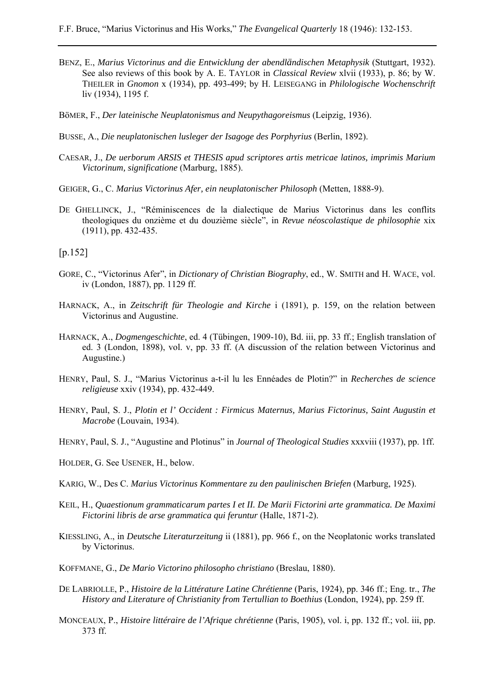BENZ, E., *Marius Victorinus and die Entwicklung der abendländischen Metaphysik* (Stuttgart, 1932). See also reviews of this book by A. E. TAYLOR in *Classical Review* xlvii (1933), p. 86; by W. THEILER in *Gnomon* x (1934), pp. 493-499; by H. LEISEGANG in *Philologische Wochenschrift* liv (1934), 1195 f.

BöMER, F., *Der lateinische Neuplatonismus and Neupythagoreismus* (Leipzig, 1936).

- BUSSE, A., *Die neuplatonischen lusleger der Isagoge des Porphyrius* (Berlin, 1892).
- CAESAR, J., *De uerborum ARSIS et THESIS apud scriptores artis metricae latinos, imprimis Marium Victorinum, significatione* (Marburg, 1885).
- GEIGER, G., C. *Marius Victorinus Afer, ein neuplatonischer Philosoph* (Metten, 1888-9).
- DE GHELLINCK, J., "Réminiscences de la dialectique de Marius Victorinus dans les conflits theologiques du onzième et du douzième siècle", in *Revue néoscolastique de philosophie* xix (1911), pp. 432-435.

[p.152]

- GORE, C., "Victorinus Afer", in *Dictionary of Christian Biography*, ed., W. SMITH and H. WACE, vol. iv (London, 1887), pp. 1129 ff.
- HARNACK, A., in *Zeitschrift für Theologie and Kirche* i (1891), p. 159, on the relation between Victorinus and Augustine.
- HARNACK, A., *Dogmengeschichte*, ed. 4 (Tübingen, 1909-10), Bd. iii, pp. 33 ff.; English translation of ed. 3 (London, 1898), vol. v, pp. 33 ff. (A discussion of the relation between Victorinus and Augustine.)
- HENRY, Paul, S. J., "Marius Victorinus a-t-il lu les Ennéades de Plotin?" in *Recherches de science religieuse* xxiv (1934), pp. 432-449.
- HENRY, Paul, S. J., *Plotin et l' Occident : Firmicus Maternus, Marius Fictorinus, Saint Augustin et Macrobe* (Louvain, 1934).
- HENRY, Paul, S. J., "Augustine and Plotinus" in *Journal of Theological Studies* xxxviii (1937), pp. 1ff.
- HOLDER, G. See USENER, H., below.
- KARIG, W., Des C. *Marius Victorinus Kommentare zu den paulinischen Briefen* (Marburg, 1925).
- KEIL, H., *Quaestionum grammaticarum partes I et II. De Marii Fictorini arte grammatica. De Maximi Fictorini libris de arse grammatica qui feruntur* (Halle, 1871-2).
- KIESSLING, A., in *Deutsche Literaturzeitung* ii (1881), pp. 966 f., on the Neoplatonic works translated by Victorinus.
- KOFFMANE, G., *De Mario Victorino philosopho christiano* (Breslau, 1880).
- DE LABRIOLLE, P., *Histoire de la Littérature Latine Chrétienne* (Paris, 1924), pp. 346 ff.; Eng. tr., *The History and Literature of Christianity from Tertullian to Boethius* (London, 1924), pp. 259 ff.
- MONCEAUX, P., *Histoire littéraire de l'Afrique chrétienne* (Paris, 1905), vol. i, pp. 132 ff.; vol. iii, pp. 373 ff.